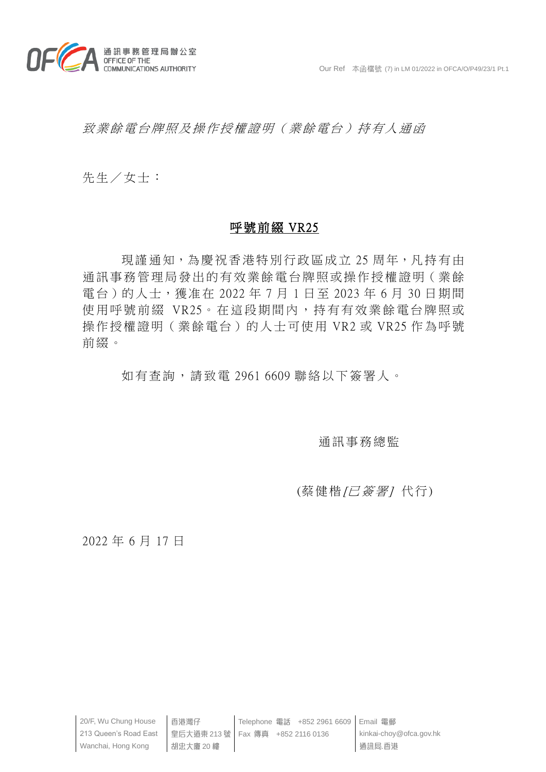

致業餘電台牌照及操作授權證明(業餘電台)持有人通函

先生/女士:

## 呼號前綴 VR25

現謹通知,為慶祝香港特別行政區成立 25 周年,凡持有由 通訊事務管理局發出的有效業餘電台牌照或操作授權證明(業餘 電台)的人士,獲准在 2022 年 7 月 1 日至 2023 年 6 月 30 日期間 使用呼號前綴 VR25。在這段期間內,持有有效業餘電台牌照或 操作授權證明(業餘電台)的人士可使用 VR2 或 VR25 作為呼號 前綴。

如有查詢,請致電 2961 6609 聯絡以下簽署人。

## 通訊事務總監

## (蔡健楷/已簽署)代行)

2022 年 6 月 17 日